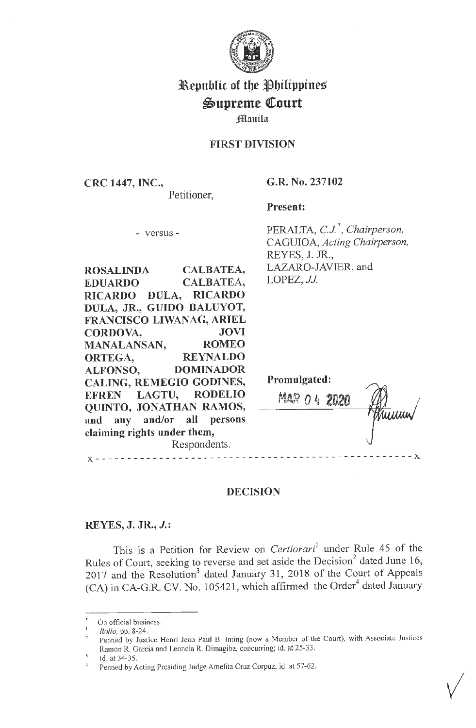

# **31\epublic of tbe t)bilippines**   $\mathfrak{Supreme}$  Court

jJ-lf[ a **11 ila** 

### **FIRST DIVISION**

**CRC 1447, INC.,**  Petitioner, **G.R. No. 237102** 

**Present:** 

- versus -

PERALTA, *C.J.*<sup>\*</sup>, *Chairperson*, CAGUIOA, *Acting Chairperson,*  REYES, J. JR., LAZARO-JAVIER, and LOPEZ, *JJ*.

**ROSALINDA CALBATEA, EDUARDO CALBATEA, RICARDO DULA, RICARDO DULA, JR., GUIDO BALUYOT, FRANCISCO LIWANAG, ARIEL CORDOVA, JOVI MANALANSAN, ROMEO ORTEGA, REYNALDO ALFONSO, DOMINADOR CALING, REMEGIO GODINES, EFREN LAGTU, RODELIO QUINTO, JONATHAN RAMOS, and any and/or all persons claiming rights under them,**  Respondents.

| <b>Promulgated:</b> |                     |  |      |
|---------------------|---------------------|--|------|
| MAR                 | $\bigcap$ $\bigcup$ |  | Wun/ |
|                     |                     |  |      |

✓

## **DECISION**

### **REYES, J. JR., J.:**

**X** - - - - - - - - - - - - - - - - - - - - - - - - - - - - - - - - - - - - - - - - - - - - - - - - - - **X** 

This is a Petition for Review on *Certiorari*<sup>1</sup> under Rule 45 of the Rules of Court, seeking to reverse and set aside the Decision<sup>2</sup> dated June 16, 2017 and the Resolution<sup>3</sup> dated January 31, 2018 of the Court of Appeals (CA) in CA-G.R. CV. No. 105421, which affirmed the Order<sup>4</sup> dated January

On official business.

<sup>&</sup>lt;sup>1</sup> *Rollo*, pp. 8-24.

Penned by Justice Henri Jean Paul B. Inting (now a Member of the Court), with Associate Justices Ramon R. Garcia and Leoncia R. Dimagiba, concurring; id. at 25-33.

<sup>&</sup>lt;sup>3</sup> Id. at 34-35.<br><sup>4</sup> Penned by Acting Presiding Judge Amelita Cruz Corpuz, id. at 57-62.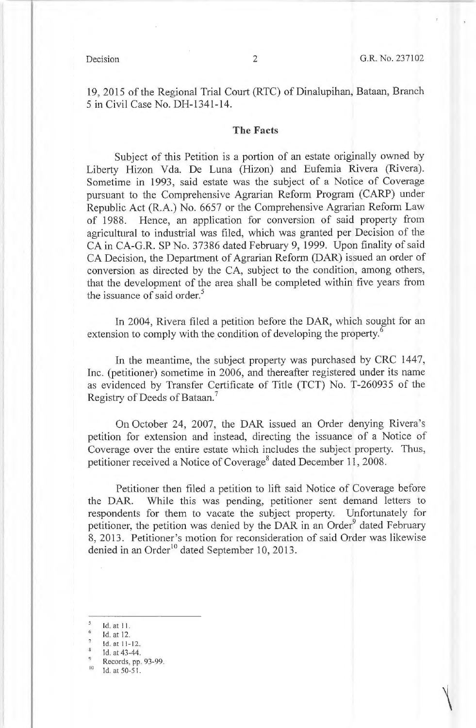19, 2015 of the Regional Trial Court (RTC) of Dinalupihan, Bataan, Branch 5 in Civil Case No. DH-1341-14.

#### **The Facts**

Subject of this Petition is a portion of an estate originally owned by Liberty Hizon Vda. De Luna (Hizon) and Eufemia Rivera (Rivera). Sometime in 1993, said estate was the subject of a Notice of Coverage pursuant to the Comprehensive Agrarian Reform Program (CARP) under Republic Act (R.A.) No. 6657 or the Comprehensive Agrarian Reform Law of 1988. Hence, an application for conversion of said property from agricultural to industrial was filed, which was granted per Decision of the CA in CA-G.R. SP No. 37386 dated February 9, 1999. Upon finality of said CA Decision, the Department of Agrarian Reform (DAR) issued an order of conversion as directed by the CA, subject to the condition, among others, that the development of the area shall be completed within five years from the issuance of said order.<sup>5</sup>

In 2004, Rivera filed a petition before the DAR, which sought for an extension to comply with the condition of developing the property.<sup>6</sup>

In the meantime, the subject property was purchased by CRC 1447, Inc. (petitioner) sometime in 2006, and thereafter registered under its name as evidenced by Transfer Certificate of Title (TCT) No. T-260935 of the Registry of Deeds of Bataan.<sup>7</sup>

On October 24, 2007, the DAR issued an Order denying Rivera's petition for extension and instead, directing the issuance of a Notice of Coverage over the entire estate which includes the subject property. Thus, petitioner received a Notice of Coverage<sup>8</sup> dated December 11, 2008.

Petitioner then filed a petition to lift said Notice of Coverage before the DAR. While this was pending, petitioner sent demand letters to respondents for them to vacate the subject property. Unfortunately for petitioner, the petition was denied by the DAR in an Order<sup>9</sup> dated February 8, 2013. Petitioner's motion for reconsideration of said Order was likewise denied in an Order<sup>10</sup> dated September 10, 2013.

ld. at 11.<br>Id. at 12.

 $\frac{12}{\text{1}}$  Id. at 11-12.<br>  $\frac{12}{\text{1}}$  Id. at 43-44.

 $\frac{9}{10}$  Records, pp. 93-99.<br>Id. at 50-51.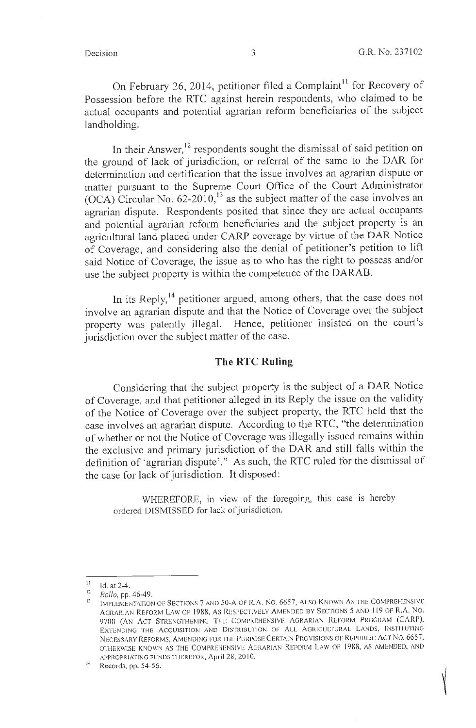On February 26, 2014, petitioner filed a Complaint<sup>11</sup> for Recovery of Possession before the RTC against herein respondents, who claimed to be actual occupants and potential agrarian reform beneficiaries of the subject landholding.

In their Answer,<sup>12</sup> respondents sought the dismissal of said petition on the ground of lack of jurisdiction, or referral of the same to the DAR for determination and certification that the issue involves an agrarian dispute or matter pursuant to the Supreme Court Office of the Court Administrator (OCA) Circular No.  $62-2010$ ,<sup>13</sup> as the subject matter of the case involves an agrarian dispute. Respondents posited that since they are actual occupants and potential agrarian reform beneficiaries and the subject property is an agricultural land placed under CARP coverage by virtue of the DAR Notice of Coverage, and considering also the denial of petitioner's petition to lift said Notice of Coverage, the issue as to who has the right to possess and/or use the subject property is within the competence of the DARAB.

In its Reply,  $^{14}$  petitioner argued, among others, that the case does not involve an agrarian dispute and that the Notice of Coverage over the subject property was patently illegal. Hence, petitioner insisted on the court's jurisdiction over the subject matter of the case.

#### **The RTC Ruling**

Considering that the subject property is the subject of a DAR Notice of Coverage, and that petitioner alleged in its Reply the issue on the validity of the Notice of Coverage over the subject property, the RTC held that the case involves an agrarian dispute. According to the RTC, "the determination of whether or not the Notice of Coverage was illegally issued remains within the exclusive and primary jurisdiction of the DAR and still falls within the definition of 'agrarian dispute'." As such, the RTC ruled for the dismissal of the case for lack of jurisdiction. It disposed:

WHEREFORE, in view of the foregoing, this case is hereby ordered DISMISSED for lack of jurisdiction.

 $\frac{11}{12}$  Id. at 2-4.

<sup>&</sup>lt;sup>12</sup> *Rollo*, pp. 46-49.<br><sup>13</sup> IMPLEMENTATION OF SECTIONS 7 AND 50-A OF R.A. NO. 6657, ALSO KNOWN AS THE COMPREHENSIVE AGRARIAN REFORM LAW OF 1988, As RESPECTIVELY AMENDED BY SECTIONS 5 AND 119 OF R.A. No. 9700 (AN ACT STRENGTHENING THE COMPREHENSIVE AGRARIAN REFORM PROGRAM (CARP), EXTENDING THE ACQUISITION AND DISTRIBUTION OF ALL AGRICULTURAL LANDS, INSTITUTING NECESSARY REFORMS, AMENDING FOR THE PURPOSE CERTAIN PROVISIONS OF REPUBLIC ACT NO. 6657, OTHERWISE KNOWN AS THE COMPREHENSIVE AGRARIAN REFORM LAW OF 1988, AS AMENDED, AND APPROPRIATING FUNDS THEREFOR, April 28, 2010.<br><sup>14</sup> Records, pp. 54-56.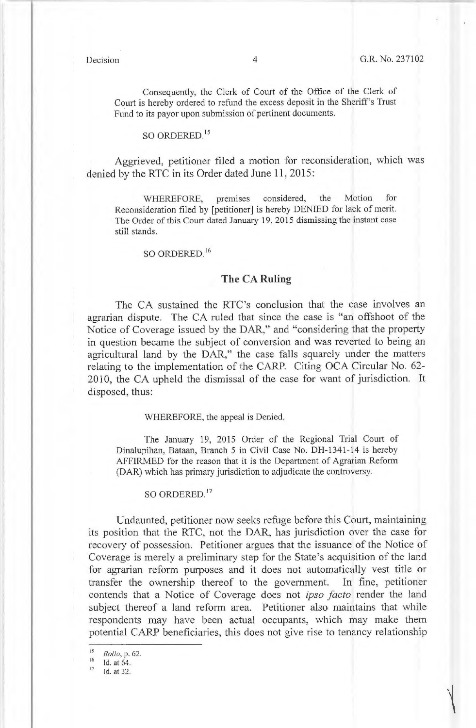Consequently, the Clerk of Court of the Office of the Clerk of Court is hereby ordered to refund the excess deposit in the Sheriff's Trust Fund to its payor upon submission of pertinent documents.

#### so ORDERED. <sup>15</sup>

Aggrieved, petitioner filed a motion for reconsideration, which was denied by the RTC in its Order dated June 11, 2015:

WHEREFORE, premises considered, the Motion for Reconsideration filed by [petitioner] is hereby DENIED for lack of merit. The Order of this Court dated January 19, 2015 dismissing the instant case still stands.

SO ORDERED. 16

#### **The CA Ruling**

The CA sustained the RTC's conclusion that the case involves an agrarian dispute. The CA ruled that since the case is "an offshoot of the Notice of Coverage issued by the DAR," and "considering that the property in question became the subject of conversion and was reverted to being an agricultural land by the DAR," the case falls squarely under the matters relating to the implementation of the CARP. Citing OCA Circular No. 62- 2010, the CA upheld the dismissal of the case for want of jurisdiction. It disposed, thus:

#### WHEREFORE, the appeal is Denied.

The January 19, 2015 Order of the Regional Trial Court of Dinalupihan, Bataan, Branch 5 in Civil Case No. DH-1341-14 is hereby AFFIRMED for the reason that it is the Department of Agrarian Reform (DAR) which has primary jurisdiction to adjudicate the controversy.

SO ORDERED.<sup>17</sup>

Undaunted, petitioner now seeks refuge before this Court, maintaining its position that the RTC, not the DAR, has jurisdiction over the case for recovery of possession; Petitioner argues that the issuance of the Notice of Coverage is merely a preliminary step for the State's acquisition of the land for agrarian reform purposes and it does not automatically vest title or transfer the ownership thereof to the government. In fine, petitioner contends that a Notice of Coverage does not *ipso facto* render the land subject thereof a land reform area. Petitioner also maintains that while respondents may have been actual occupants, which may make them potential CARP beneficiaries, this does not give rise to tenancy relationship

<sup>&</sup>lt;sup>15</sup> *Rollo*, p. 62.<br><sup>16</sup> **1d.** at 64.<br><sup>17</sup> **1d.** at 32.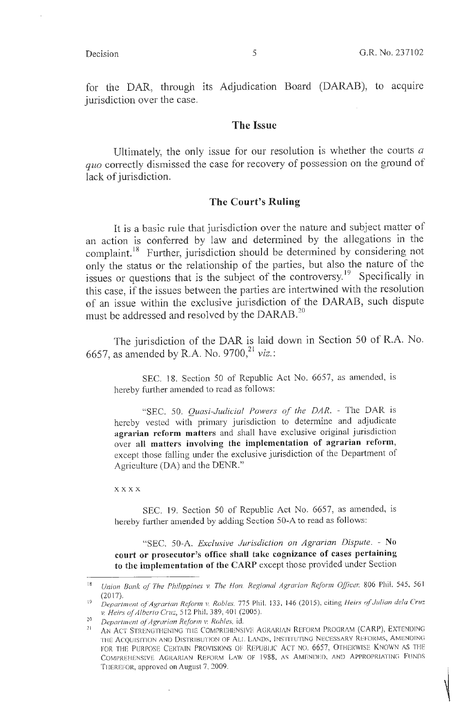for the DAR, through its Adjudication Board (DARAB), to acquire jurisdiction over the case.

#### **The Issue**

Ultimately, the only issue for our resolution is whether the courts *a quo* correctly dismissed the case for recovery of possession on the ground of lack of jurisdiction.

#### **The Court's Ruling**

It is a basic rule that jurisdiction over the nature and subject matter of an action is conferred by law and determined by the allegations in the complaint.<sup>18</sup> Further, jurisdiction should be determined by considering not only the status or the relationship of the parties, but also the nature of the issues or questions that is the subject of the controversy.<sup>19</sup> Specifically in this case, if the issues between the parties are intertwined with the resolution of an issue within the exclusive jurisdiction of the DARAB, such dispute must be addressed and resolved by the DARAB.<sup>20</sup>

The jurisdiction of the DAR is laid down in Section 50 of R.A. No. 6657, as amended by R.A. No. 9700,<sup>21</sup> viz.:

SEC. 18. Section 50 of Republic Act No. 6657, as amended, is hereby further amended to read as follows:

"SEC. 50. *Quasi-Judicial Powers of the DAR.* - The DAR is hereby vested with primary jurisdiction to determine and adjudicate **agrarian reform matters** and shall have exclusive original jurisdiction over **all matters involving the implementation of agrarian reform,**  except those falling under the exclusive jurisdiction of the Department of Agriculture (DA) and the DENR."

**xxxx** 

SEC. 19. Section 50 of Republic Act No. 6657, as amended, is hereby further amended by adding Section 50-A to read as follows:

"SEC. 50-A. *Exclusive Jurisdiction on Agrarian Dispute.* - **No court or prosecutor's office shall take cognizance of cases pertaining to the implementation of the CARP** except those provided under Section

 $\bar{1}$ 

<sup>&</sup>lt;sup>18</sup> Union Bank of The Philippines v. The Hon. Regional Agrarian Reform Officer, 806 Phil. 545, 561

<sup>(20</sup> 17). 19 *Department of Agrarian Reform v. Robles,* 775 Phil. 133, 146 (20 15), citing *Heirs of Julian de/a Cruz* 

<sup>&</sup>lt;sup>20</sup> *Department of Agrarian Reform v. Robles, id.*<br><sup>21</sup> AN ACT STRENGTHENING THE COMPREHENSIVE AGRARIAN REFORM PROGRAM (CARP), EXTENDING THE ACQUISITION AND DISTRIBUTION OF ALL LANDS, INSTITUTING NECESSARY REFORMS, AMENDING FOR THE PURPOSE CERTAIN PROVISIONS OF REPUBLIC ACT NO. 6657, OTHERWISE KNOWN AS THE COMPREHENSIVE AGRARIAN REFORM LAW OF 1988, AS AMENDED, AND APPROPRIATING FUNDS THEREFOR, approved on August 7, 2009.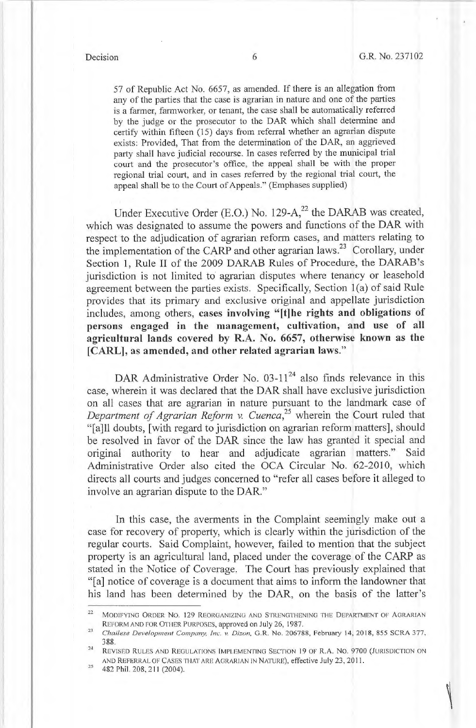57 of Republic Act No. 6657, as amended. If there is an allegation from any of the parties that the case is agrarian in nature and one of the parties is a farmer, farmworker, or tenant, the case shall be automatically referred by the judge or the prosecutor to the DAR which shall determine and certify within fifteen (15) days from referral whether an agrarian dispute exists: Provided, That from the determination of the DAR, an aggrieved party shall have judicial recourse. In cases referred by the municipal trial court and the prosecutor's office, the appeal shall be with the proper regional trial court, and in cases referred by the regional trial court, the appeal shall be to the Court of Appeals." (Emphases supplied)

Under Executive Order (E.O.) No. 129- $A<sub>1</sub><sup>22</sup>$  the DARAB was created, which was designated to assume the powers and functions of the DAR with respect to the adjudication of agrarian reform cases, and matters relating to the implementation of the CARP and other agrarian laws.<sup>23</sup> Corollary, under Section 1, Rule II of the 2009 DARAB Rules of Procedure, the DARAB 's jurisdiction is not limited to agrarian disputes where tenancy or leasehold agreement between the parties exists. Specifically, Section l(a) of said Rule provides that its primary and exclusive original and appellate jurisdiction includes, among others, **cases involving "[t]he rights and obligations of persons engaged in the management, cultivation, and use of all agricultural lands covered by R.A. No. 6657, otherwise known as the [CARL], as amended, and other related agrarian laws."** 

DAR Administrative Order No.  $03-11^{24}$  also finds relevance in this case, wherein it was declared that the DAR shall have exclusive jurisdiction on all cases that are agrarian in nature pursuant to the landmark case of *Department of Agrarian Reform* v. *Cuenca,<sup>25</sup>*wherein the Court ruled that "[a]ll doubts, [ with regard to jurisdiction on agrarian reform matters], should be resolved in favor of the DAR since the law has granted it special and original authority to hear and adjudicate agrarian matters." Said Administrative Order also cited the OCA Circular No. 62-2010, which directs all courts and judges concerned to "refer all cases before it alleged to involve an agrarian dispute to the DAR."

In this case, the averments in the Complaint seemingly make out a case for recovery of property, which is clearly within the jurisdiction of the regular courts. Said Complaint, however, failed to mention that the subject property is an agricultural land, placed under the coverage of the CARP as stated in the Notice of Coverage. The Court has previously explained that "[a] notice of coverage is a document that aims to inform the landowner that his land has been determined by the DAR, on the basis of the latter's

<sup>&</sup>lt;sup>22</sup> MODIFYING ORDER NO. 129 REORGANIZING AND STRENGTHENING THE DEPARTMENT OF AGRARIAN

REFORM AND FOR OTHER PURPOSES, approved on July 26, 1987.<br><sup>23</sup> *Chailese Development Company, Inc. v. Dizon*, G.R. No. 206788, February 14, 2018, 855 SCRA 377, 388.<br><sup>24</sup> REVISED RULES AND REGULATIONS IMPLEMENTING SECTION 19 OF R.A. No. 9700 (JURISDICTION ON

AND REFERRAL OF CASES THAT ARE AGRARIAN IN NATURE), effective July 23, 2011.<br>482 Phil. 208, 211 (2004).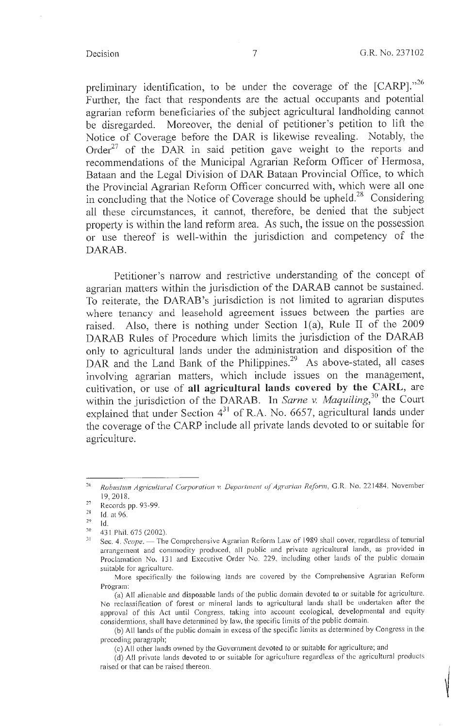preliminary identification, to be under the coverage of the [CARP]."<sup>26</sup> Further, the fact that respondents are the actual occupants and potential agrarian reform beneficiaries of the subject agricultural landholding cannot be disregarded. Moreover, the denial of petitioner's petition to lift the Notice of Coverage before the DAR is likewise revealing. Notably, the Order<sup>27</sup> of the DAR in said petition gave weight to the reports and recommendations of the Municipal Agrarian Reform Officer of Hermosa, Bataan and the Legal Division of DAR Bataan Provincial Office, to which the Provincial Agrarian Reform Officer concurred with, which were all one in concluding that the Notice of Coverage should be upheld.<sup>28</sup> Considering all these circumstances, it cannot, therefore, be denied that the subject property is within the land reform area. As such, the issue on the possession or use thereof is well-within the jurisdiction and competency of the DARAB.

Petitioner's narrow and restrictive understanding of the concept of agrarian matters within the jurisdiction of the DARAB cannot be sustained. To reiterate, the DARAB 's jurisdiction is not limited to agrarian disputes where tenancy and leasehold agreement issues between the parties are raised. Also, there is nothing under Section l(a), Rule II of the 2009 DARAB Rules of Procedure which limits the jurisdiction of the DARAB only to agricultural lands under the administration and disposition of the DAR and the Land Bank of the Philippines.<sup>29</sup> As above-stated, all cases involving agrarian matters, which include issues on the management, cultivation, or use of **all agricultural lands covered by the CARL,** are within the jurisdiction of the DARAB. In *Sarne v. Maquiling*,<sup>30</sup> the Court explained that under Section  $4^{31}$  of R.A. No. 6657, agricultural lands under the coverage of the CARP include all private lands devoted to or suitable for agriculture.

<sup>&</sup>lt;sup>26</sup> Robustum Agricultural Corporation v. Department of Agrarian Reform, G.R. No. 221484, November 19, 2018.

 $^{27}$  Records pp. 93-99.

 $\frac{28}{29}$  Id. at 96.

 $Id.$ 

 $\frac{30}{31}$  431 Phil. 675 (2002).

Sec. 4. *Scope.* - The Comprehensive Agrarian Reform Law of 1989 shall cover, regardless of tenurial arrangement and commodity produced, all public and private agricultural lands, as provided in Proclamation No. 131 and Executive Order No. 229, including other lands of the public domain suitable for agriculture.

More specifically the following lands are covered by the Comprehensive Agrarian Reform Program:

<sup>(</sup>a) All alienable and disposable lands of the public domain devoted to or suitable for agriculture. No reclassification of forest or mineral lands to agricultural lands shall be undertaken after the approval of this Act until Congress, taking into account ecological, developmental and equity considerations, shall have determined by law, the specific limits of the public domain.

<sup>(</sup>b) All lands of the public domain in excess of the specific limits as determined by Congress in the preceding paragraph;

<sup>(</sup>c) All other lands owned by the Government devoted to or suitable for agriculture; and

<sup>(</sup>d) All private lands devoted to or suitable for agriculture regardless of the agricultural products raised or that can be raised thereon.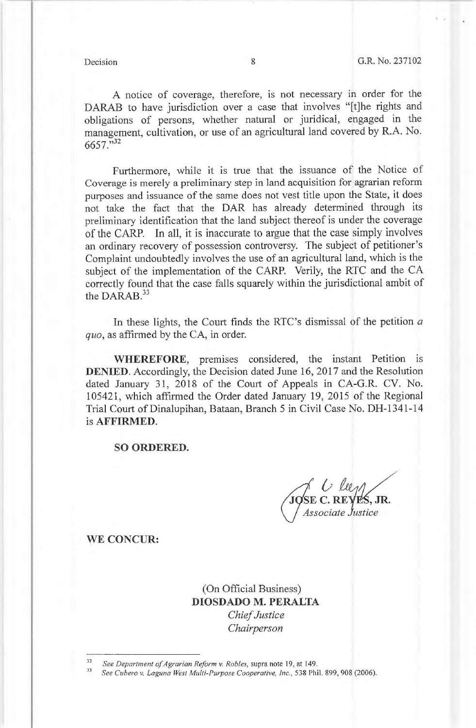A notice of coverage, therefore, is not necessary in order for the DARAB to have jurisdiction over a case that involves "[t]he rights and obligations of persons, whether natural or juridical, engaged in the management, cultivation, or use of an agricultural land covered by R.A. No. 6657."<sup>32</sup>

Furthermore, while it is true that the issuance of the Notice of Coverage is merely a preliminary step in land acquisition for agrarian reform purposes and issuance of the same does not vest title upon the State, it does not take the fact that the DAR has already determined through its preliminary identification that the land subject thereof is under the coverage of the CARP. In all, it is inaccurate to argue that the case simply involves an ordinary recovery of possession controversy. The subject of petitioner's Complaint undoubtedly involves the use of an agricultural land, which is the subject of the implementation of the CARP. Verily, the RTC and the CA correctly found that the case falls squarely within the jurisdictional ambit of the DARAB. $33$ 

In these lights, the Court finds the RTC's dismissal of the petition *a quo,* as affirmed by the CA, in order.

**WHEREFORE,** premises considered, the instant Petition is **DENIED.** Accordingly, the Decision dated June 16, 2017 and the Resolution dated January 31, 2018 of the Court of Appeals in CA-G.R. CV. No. 105421, which affirmed the Order dated January 19, 2015 of the Regional Trial Court of Dinalupihan, Bataan, Branch 5 in Civil Case No. DH-1341-14 is **AFFIRMED.** 

**SO ORDERED.** 

**SE C. REYES, JR.**<br>Associate Justice

**WE CONCUR:** 

(On Official Business) **DIOSDADO M. PERALTA**  *Chief Justice Chairperson* 

<sup>&</sup>lt;sup>32</sup> See Department of Agrarian Reform v. Robles, supra note 19, at 149.<br><sup>33</sup> See Cubero v. Laguna West Multi-Purpose Cooperative, Inc., 538 Phil. 899, 908 (2006).